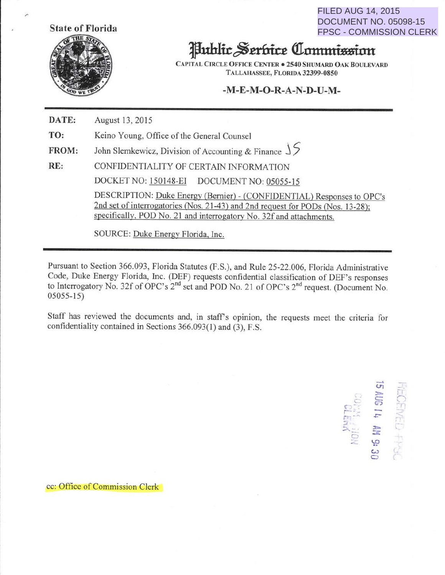**State of Florida** 



FILED AUG 14, 2015 DOCUMENT NO. 05098-15 FPSC - COMMISSION CLERK

## Juhlir~mritt **Qillltttttimtinn**

CAPITAL CIRCLE OFFICE CENTER . 2540 SHUMARD OAK BOULEVARD TALLAHASSEE, FLORIDA 32399-0850

## **-M-E-M-0-R-A-N-D-U-M-**

**DATE: TO: FROM: RE:**  August 13,2015 Keino Young, Office of the General Counsel John Slemkewicz, Division of Accounting & Finance J *5*  CONFIDENTIALITY OF CERTAIN TNFORMA TION DOCKETNO: 150148-EI DOCUMENT NO: 05055-15

> DESCRIPTION: Duke Energy (Bernier)- (CONFIDENTIAL) Responses to OPC's 2nd set of interrogatories (Nos. 21-43) and 2nd request for PODs (Nos. 13-28); specifically, POD No. 21 and interrogatory No. 32f and attachments.

SOURCE: Duke Energy Florida, Inc.

Pursuant to Section 366.093, Florida Statutes (F.S.), and Rule 25-22.006, Florida Administrative Code, Duke Energy Florida, Inc. (DEF) requests confidential classification of DEF's responses to Interrogatory No. 32f of OPC's 2<sup>nd</sup> set and POD No. 21 of OPC's 2<sup>nd</sup> request. (Document No. 05055-15)

Staff has reviewed the documents and, in staff's opinion, the requests meet the criteria for confidentiality contained in Sections 366.093(1) and (3), F.S.

 $\overrightarrow{cr}$ ገን<br>አችላይን<br>**ካ 3በሃ Expressed**<br>  $\begin{bmatrix}\n\frac{1}{2} & \frac{1}{2} & \frac{1}{2} & \frac{1}{2} & \frac{1}{2} & \frac{1}{2} & \frac{1}{2} & \frac{1}{2} & \frac{1}{2} & \frac{1}{2} & \frac{1}{2} & \frac{1}{2} & \frac{1}{2} & \frac{1}{2} & \frac{1}{2} & \frac{1}{2} & \frac{1}{2} & \frac{1}{2} & \frac{1}{2} & \frac{1}{2} & \frac{1}{2} & \frac{1}{2} & \frac{1}{2} & \frac{1}{2} & \frac{1}{2} & \$  $\mathbb{S}$ 

<sup>c</sup>c: Office of Commission Clerk